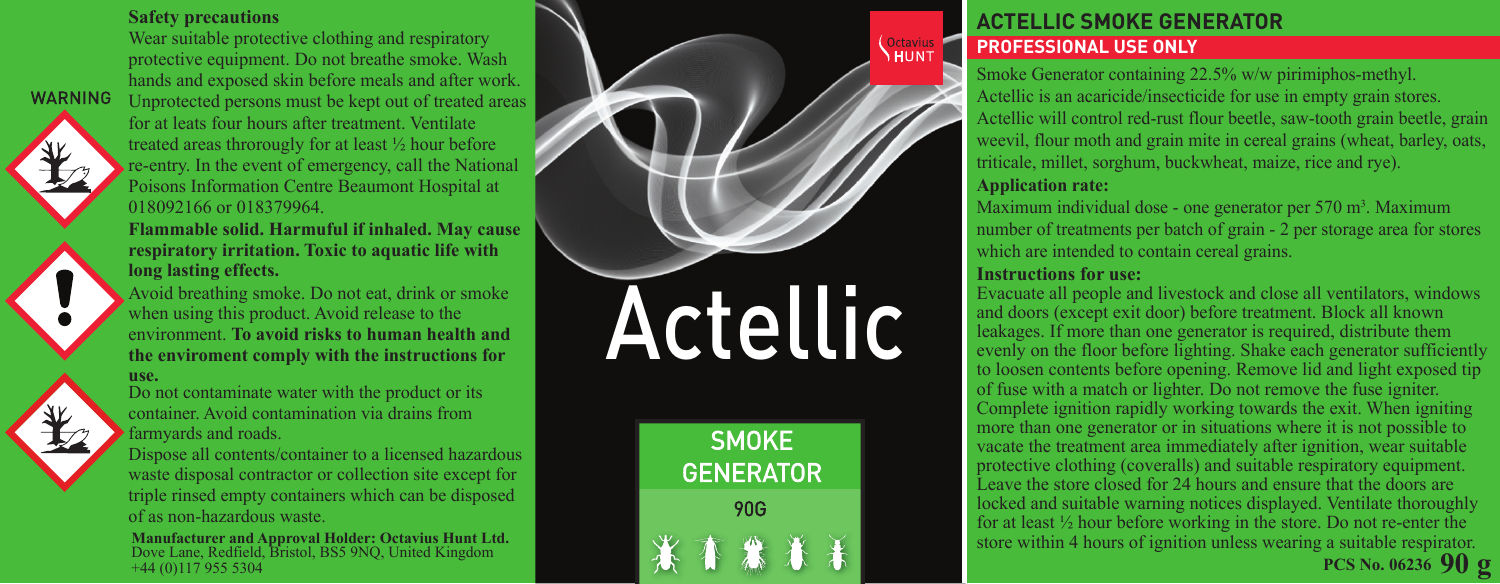#### **Safety precautions**

Wear suitable protective clothing and respiratory protective equipment. Do not breathe smoke. Wash hands and exposed skin before meals and after work. Unprotected persons must be kept out of treated areas for at leats four hours after treatment. Ventilate treated areas throrougly for at least ½ hour before re-entry. In the event of emergency, call the National Poisons Information Centre Beaumont Hospital at 018092166 or 018379964

**Flammable solid. Harmuful if inhaled. May cause respiratory irritation. Toxic to aquatic life with long lasting effects.**

Avoid breathing smoke. Do not eat, drink or smoke when using this product. Avoid release to the environment. **To avoid risks to human health and the enviroment comply with the instructions for** 

#### **use.**

**WARNING** 

Do not contaminate water with the product or its container. Avoid contamination via drains from farmyards and roads.

Dispose all contents/container to a licensed hazardous waste disposal contractor or collection site except for triple rinsed empty containers which can be disposed of as non-hazardous waste.

**Manufacturer and Approval Holder: Octavius Hunt Ltd.**  Dove Lane, Redfield, Bristol, BS5 9NQ, United Kingdom +44 (0)117 955 5304

# Actellic

**SMOKE GENERATOR** 90G

#### **ACTELLIC SMOKE GENERATOR PROFESSIONAL USE ONLY**

Smoke Generator containing 22.5% w/w pirimiphos-methyl. Actellic is an acaricide/insecticide for use in empty grain stores. Actellic will control red-rust flour beetle, saw-tooth grain beetle, grain weevil, flour moth and grain mite in cereal grains (wheat, barley, oats, triticale, millet, sorghum, buckwheat, maize, rice and rye).

#### **Application rate:**

**Coctavius** 

Maximum individual dose - one generator per  $570 \text{ m}^3$ . Maximum number of treatments per batch of grain - 2 per storage area for stores which are intended to contain cereal grains.

#### **Instructions for use:**

**90 g PCS No. 06236** Evacuate all people and livestock and close all ventilators, windows and doors (except exit door) before treatment. Block all known leakages. If more than one generator is required, distribute them evenly on the floor before lighting. Shake each generator sufficiently to loosen contents before opening. Remove lid and light exposed tip of fuse with a match or lighter. Do not remove the fuse igniter. Complete ignition rapidly working towards the exit. When igniting more than one generator or in situations where it is not possible to vacate the treatment area immediately after ignition, wear suitable protective clothing (coveralls) and suitable respiratory equipment. Leave the store closed for 24 hours and ensure that the doors are locked and suitable warning notices displayed. Ventilate thoroughly for at least ½ hour before working in the store. Do not re-enter the store within 4 hours of ignition unless wearing a suitable respirator.